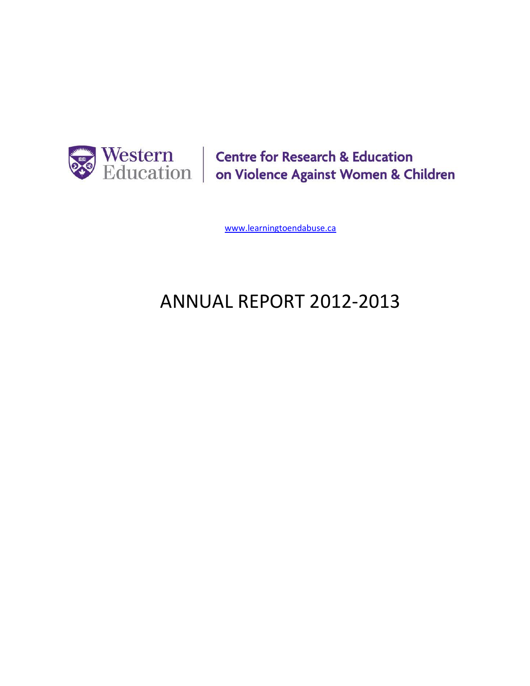

Western Centre for Research & Education<br>Education | on Violence Against Women & Children

[www.learningtoendabuse.ca](http://www.learningtoendabuse.ca/)

# ANNUAL REPORT 2012-2013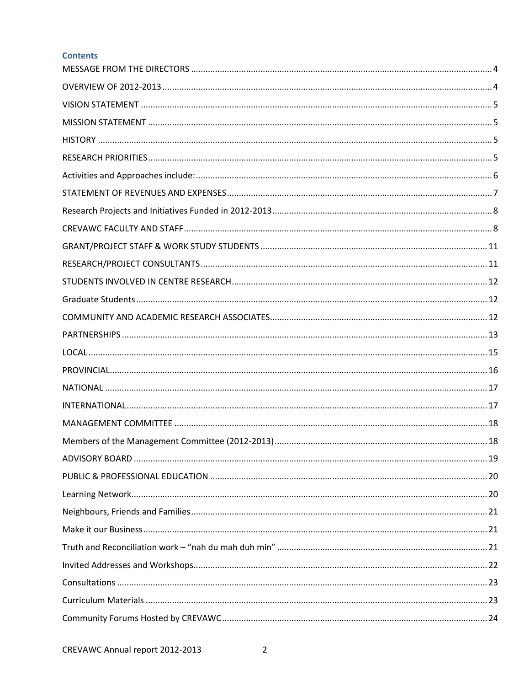## **Contents**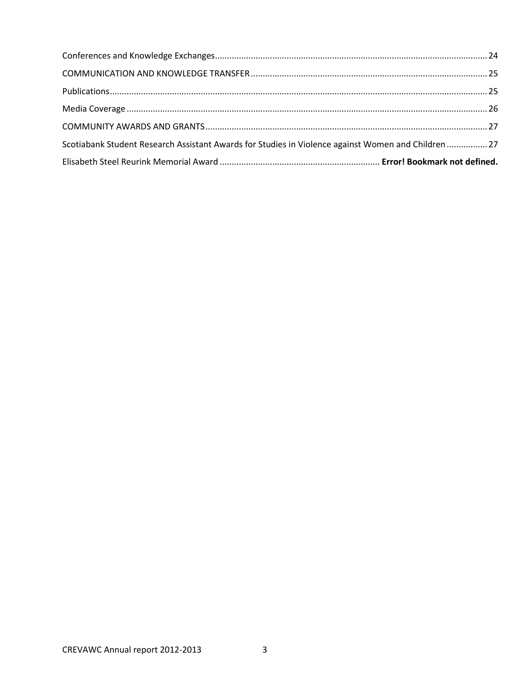| Scotiabank Student Research Assistant Awards for Studies in Violence against Women and Children27 |  |
|---------------------------------------------------------------------------------------------------|--|
|                                                                                                   |  |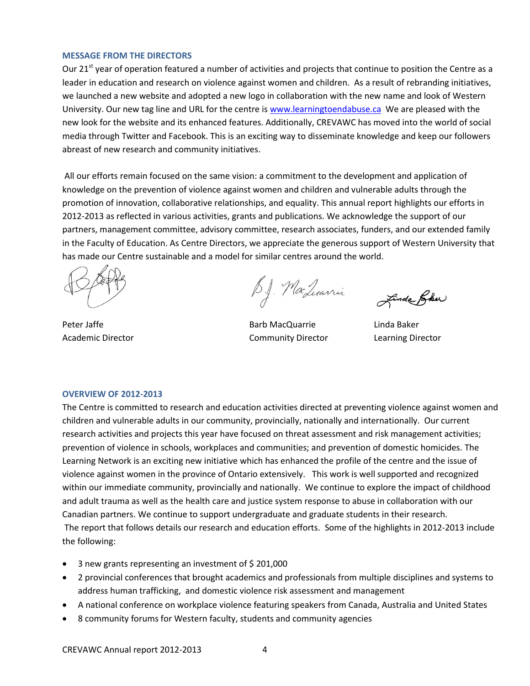#### <span id="page-3-0"></span>**MESSAGE FROM THE DIRECTORS**

Our 21<sup>st</sup> year of operation featured a number of activities and projects that continue to position the Centre as a leader in education and research on violence against women and children. As a result of rebranding initiatives, we launched a new website and adopted a new logo in collaboration with the new name and look of Western University. Our new tag line and URL for the centre is [www.learningtoendabuse.ca](http://www.learningtoendabuse.ca/) We are pleased with the new look for the website and its enhanced features. Additionally, CREVAWC has moved into the world of social media through Twitter and Facebook. This is an exciting way to disseminate knowledge and keep our followers abreast of new research and community initiatives.

All our efforts remain focused on the same vision: a commitment to the development and application of knowledge on the prevention of violence against women and children and vulnerable adults through the promotion of innovation, collaborative relationships, and equality. This annual report highlights our efforts in 2012-2013 as reflected in various activities, grants and publications. We acknowledge the support of our partners, management committee, advisory committee, research associates, funders, and our extended family in the Faculty of Education. As Centre Directors, we appreciate the generous support of Western University that has made our Centre sustainable and a model for similar centres around the world.

B.J. MacLuarrie

Peter Jaffe **Barb MacQuarrie** Linda Baker Academic Director **Community Director** Community Director **Learning Director** 

Linda Pher

#### <span id="page-3-1"></span>**OVERVIEW OF 2012-2013**

The Centre is committed to research and education activities directed at preventing violence against women and children and vulnerable adults in our community, provincially, nationally and internationally. Our current research activities and projects this year have focused on threat assessment and risk management activities; prevention of violence in schools, workplaces and communities; and prevention of domestic homicides. The Learning Network is an exciting new initiative which has enhanced the profile of the centre and the issue of violence against women in the province of Ontario extensively. This work is well supported and recognized within our immediate community, provincially and nationally. We continue to explore the impact of childhood and adult trauma as well as the health care and justice system response to abuse in collaboration with our Canadian partners. We continue to support undergraduate and graduate students in their research. The report that follows details our research and education efforts. Some of the highlights in 2012-2013 include the following:

- 3 new grants representing an investment of \$201,000
- 2 provincial conferences that brought academics and professionals from multiple disciplines and systems to address human trafficking, and domestic violence risk assessment and management
- A national conference on workplace violence featuring speakers from Canada, Australia and United States
- 8 community forums for Western faculty, students and community agencies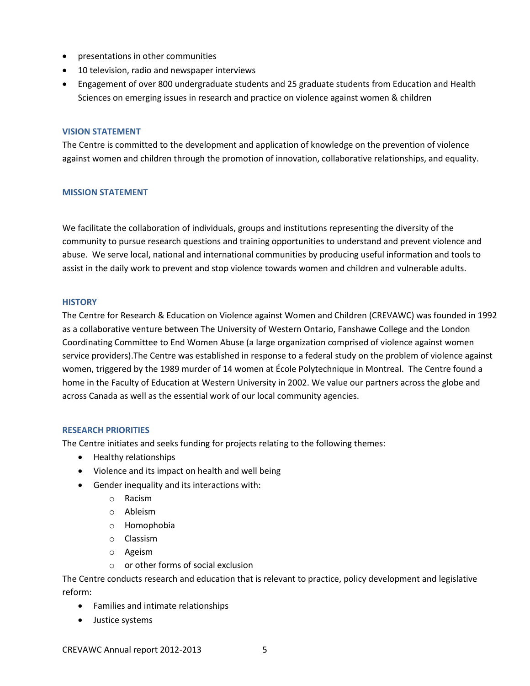- presentations in other communities
- 10 television, radio and newspaper interviews
- Engagement of over 800 undergraduate students and 25 graduate students from Education and Health Sciences on emerging issues in research and practice on violence against women & children

#### <span id="page-4-0"></span>**VISION STATEMENT**

The Centre is committed to the development and application of knowledge on the prevention of violence against women and children through the promotion of innovation, collaborative relationships, and equality.

## <span id="page-4-1"></span>**MISSION STATEMENT**

We facilitate the collaboration of individuals, groups and institutions representing the diversity of the community to pursue research questions and training opportunities to understand and prevent violence and abuse. We serve local, national and international communities by producing useful information and tools to assist in the daily work to prevent and stop violence towards women and children and vulnerable adults.

#### <span id="page-4-2"></span>**HISTORY**

The Centre for Research & Education on Violence against Women and Children (CREVAWC) was founded in 1992 as a collaborative venture between The University of Western Ontario, Fanshawe College and the London Coordinating Committee to End Women Abuse (a large organization comprised of violence against women service providers).The Centre was established in response to a federal study on the problem of violence against women, triggered by the 1989 murder of 14 women at École Polytechnique in Montreal. The Centre found a home in the Faculty of Education at Western University in 2002. We value our partners across the globe and across Canada as well as the essential work of our local community agencies.

## <span id="page-4-3"></span>**RESEARCH PRIORITIES**

The Centre initiates and seeks funding for projects relating to the following themes:

- Healthy relationships
- Violence and its impact on health and well being
- Gender inequality and its interactions with:
	- o Racism
	- o Ableism
	- o Homophobia
	- o Classism
	- o Ageism
	- o or other forms of social exclusion

The Centre conducts research and education that is relevant to practice, policy development and legislative reform:

- Families and intimate relationships
- Justice systems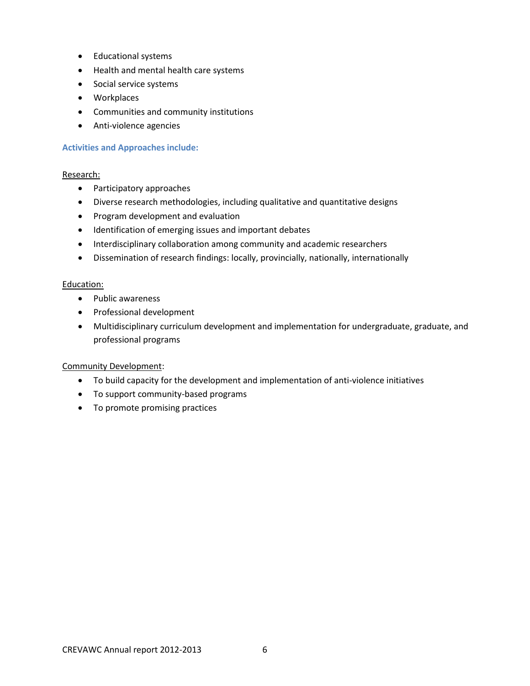- Educational systems
- Health and mental health care systems
- Social service systems
- Workplaces
- Communities and community institutions
- Anti-violence agencies

## <span id="page-5-0"></span>**Activities and Approaches include:**

## Research:

- Participatory approaches
- Diverse research methodologies, including qualitative and quantitative designs
- Program development and evaluation
- Identification of emerging issues and important debates
- Interdisciplinary collaboration among community and academic researchers
- Dissemination of research findings: locally, provincially, nationally, internationally

## Education:

- Public awareness
- Professional development
- Multidisciplinary curriculum development and implementation for undergraduate, graduate, and professional programs

## Community Development:

- To build capacity for the development and implementation of anti-violence initiatives
- To support community-based programs
- To promote promising practices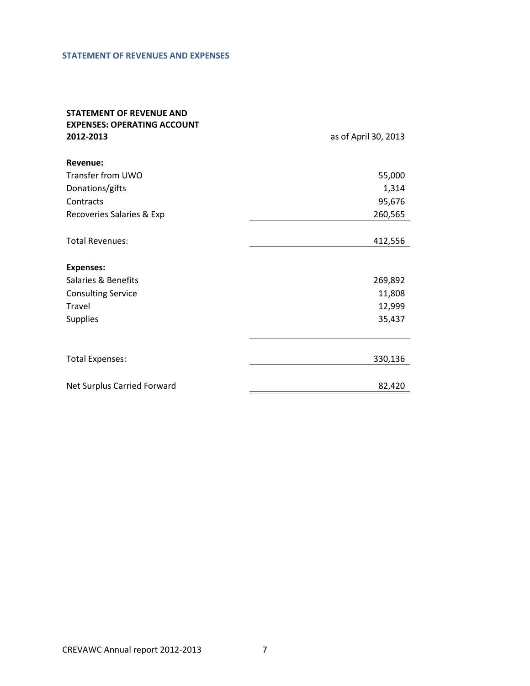#### <span id="page-6-0"></span>**STATEMENT OF REVENUES AND EXPENSES**

# **STATEMENT OF REVENUE AND EXPENSES: OPERATING ACCOUNT**

**2012-2013** as of April 30, 2013

| Revenue:                    |         |
|-----------------------------|---------|
| Transfer from UWO           | 55,000  |
| Donations/gifts             | 1,314   |
| Contracts                   | 95,676  |
| Recoveries Salaries & Exp   | 260,565 |
|                             |         |
| <b>Total Revenues:</b>      | 412,556 |
|                             |         |
| <b>Expenses:</b>            |         |
| Salaries & Benefits         | 269,892 |
| <b>Consulting Service</b>   | 11,808  |
| Travel                      | 12,999  |
| <b>Supplies</b>             | 35,437  |
|                             |         |
| <b>Total Expenses:</b>      | 330,136 |
|                             |         |
| Net Surplus Carried Forward | 82,420  |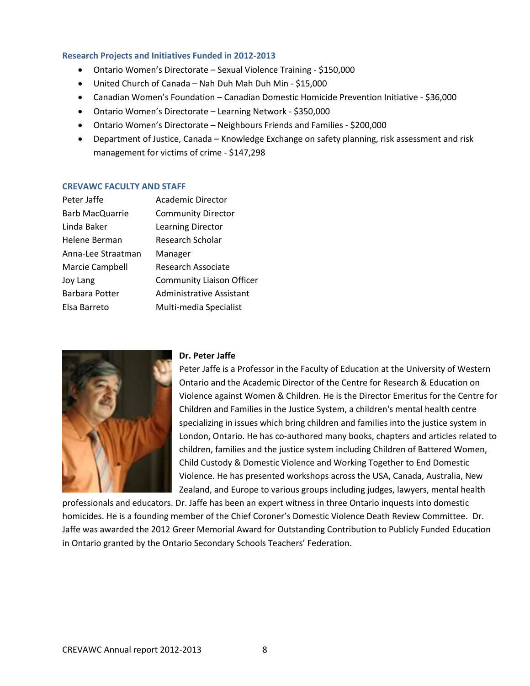#### <span id="page-7-0"></span>**Research Projects and Initiatives Funded in 2012-2013**

- Ontario Women's Directorate Sexual Violence Training \$150,000
- United Church of Canada Nah Duh Mah Duh Min \$15,000
- Canadian Women's Foundation Canadian Domestic Homicide Prevention Initiative \$36,000
- Ontario Women's Directorate Learning Network \$350,000
- Ontario Women's Directorate Neighbours Friends and Families \$200,000
- Department of Justice, Canada Knowledge Exchange on safety planning, risk assessment and risk management for victims of crime - \$147,298

#### <span id="page-7-1"></span>**CREVAWC FACULTY AND STAFF**

| <b>Academic Director</b>         |
|----------------------------------|
| <b>Community Director</b>        |
| <b>Learning Director</b>         |
| Research Scholar                 |
| Manager                          |
| Research Associate               |
| <b>Community Liaison Officer</b> |
| <b>Administrative Assistant</b>  |
| Multi-media Specialist           |
|                                  |



## **Dr. Peter Jaffe**

Peter Jaffe is a Professor in the Faculty of Education at the University of Western Ontario and the Academic Director of the Centre for Research & Education on Violence against Women & Children. He is the Director Emeritus for the Centre for Children and Families in the Justice System, a children's mental health centre specializing in issues which bring children and families into the justice system in London, Ontario. He has co-authored many books, chapters and articles related to children, families and the justice system including Children of Battered Women, Child Custody & Domestic Violence and Working Together to End Domestic Violence. He has presented workshops across the USA, Canada, Australia, New Zealand, and Europe to various groups including judges, lawyers, mental health

professionals and educators. Dr. Jaffe has been an expert witness in three Ontario inquests into domestic homicides. He is a founding member of the Chief Coroner's Domestic Violence Death Review Committee. Dr. Jaffe was awarded the 2012 Greer Memorial Award for Outstanding Contribution to Publicly Funded Education in Ontario granted by the Ontario Secondary Schools Teachers' Federation.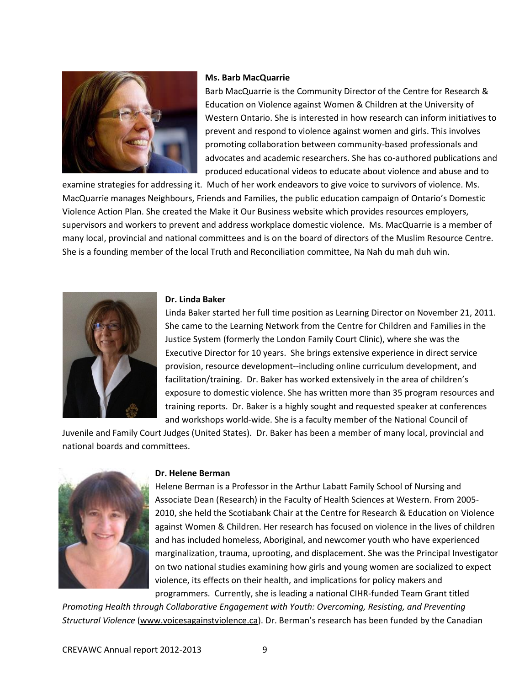

#### **Ms. Barb MacQuarrie**

Barb MacQuarrie is the Community Director of the Centre for Research & Education on Violence against Women & Children at the University of Western Ontario. She is interested in how research can inform initiatives to prevent and respond to violence against women and girls. This involves promoting collaboration between community-based professionals and advocates and academic researchers. She has co-authored publications and produced educational videos to educate about violence and abuse and to

examine strategies for addressing it. Much of her work endeavors to give voice to survivors of violence. Ms. MacQuarrie manages Neighbours, Friends and Families, the public education campaign of Ontario's Domestic Violence Action Plan. She created the Make it Our Business website which provides resources employers, supervisors and workers to prevent and address workplace domestic violence. Ms. MacQuarrie is a member of many local, provincial and national committees and is on the board of directors of the Muslim Resource Centre. She is a founding member of the local Truth and Reconciliation committee, Na Nah du mah duh win.



#### **Dr. Linda Baker**

Linda Baker started her full time position as Learning Director on November 21, 2011. She came to the Learning Network from the Centre for Children and Families in the Justice System (formerly the London Family Court Clinic), where she was the Executive Director for 10 years. She brings extensive experience in direct service provision, resource development--including online curriculum development, and facilitation/training. Dr. Baker has worked extensively in the area of children's exposure to domestic violence. She has written more than 35 program resources and training reports. Dr. Baker is a highly sought and requested speaker at conferences and workshops world-wide. She is a faculty member of the National Council of

Juvenile and Family Court Judges (United States). Dr. Baker has been a member of many local, provincial and national boards and committees.



#### **Dr. Helene Berman**

Helene Berman is a Professor in the Arthur Labatt Family School of Nursing and Associate Dean (Research) in the Faculty of Health Sciences at Western. From 2005- 2010, she held the Scotiabank Chair at the Centre for Research & Education on Violence against Women & Children. Her research has focused on violence in the lives of children and has included homeless, Aboriginal, and newcomer youth who have experienced marginalization, trauma, uprooting, and displacement. She was the Principal Investigator on two national studies examining how girls and young women are socialized to expect violence, its effects on their health, and implications for policy makers and programmers. Currently, she is leading a national CIHR-funded Team Grant titled

*Promoting Health through Collaborative Engagement with Youth: Overcoming, Resisting, and Preventing Structural Violence* [\(www.voicesagainstviolence.ca](http://www.voicesagainstviolence.ca/)). Dr. Berman's research has been funded by the Canadian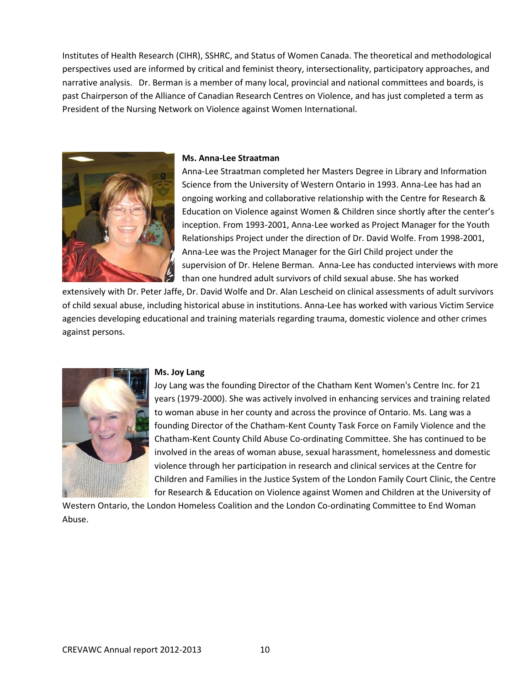Institutes of Health Research (CIHR), SSHRC, and Status of Women Canada. The theoretical and methodological perspectives used are informed by critical and feminist theory, intersectionality, participatory approaches, and narrative analysis. Dr. Berman is a member of many local, provincial and national committees and boards, is past Chairperson of the Alliance of Canadian Research Centres on Violence, and has just completed a term as President of the Nursing Network on Violence against Women International.



#### **Ms. Anna-Lee Straatman**

Anna-Lee Straatman completed her Masters Degree in Library and Information Science from the University of Western Ontario in 1993. Anna-Lee has had an ongoing working and collaborative relationship with the Centre for Research & Education on Violence against Women & Children since shortly after the center's inception. From 1993-2001, Anna-Lee worked as Project Manager for the Youth Relationships Project under the direction of Dr. David Wolfe. From 1998-2001, Anna-Lee was the Project Manager for the Girl Child project under the supervision of Dr. Helene Berman. Anna-Lee has conducted interviews with more than one hundred adult survivors of child sexual abuse. She has worked

extensively with Dr. Peter Jaffe, Dr. David Wolfe and Dr. Alan Lescheid on clinical assessments of adult survivors of child sexual abuse, including historical abuse in institutions. Anna-Lee has worked with various Victim Service agencies developing educational and training materials regarding trauma, domestic violence and other crimes against persons.



#### **Ms. Joy Lang**

Joy Lang was the founding Director of the Chatham Kent Women's Centre Inc. for 21 years (1979-2000). She was actively involved in enhancing services and training related to woman abuse in her county and across the province of Ontario. Ms. Lang was a founding Director of the Chatham-Kent County Task Force on Family Violence and the Chatham-Kent County Child Abuse Co-ordinating Committee. She has continued to be involved in the areas of woman abuse, sexual harassment, homelessness and domestic violence through her participation in research and clinical services at the Centre for Children and Families in the Justice System of the London Family Court Clinic, the Centre for Research & Education on Violence against Women and Children at the University of

Western Ontario, the London Homeless Coalition and the London Co-ordinating Committee to End Woman Abuse.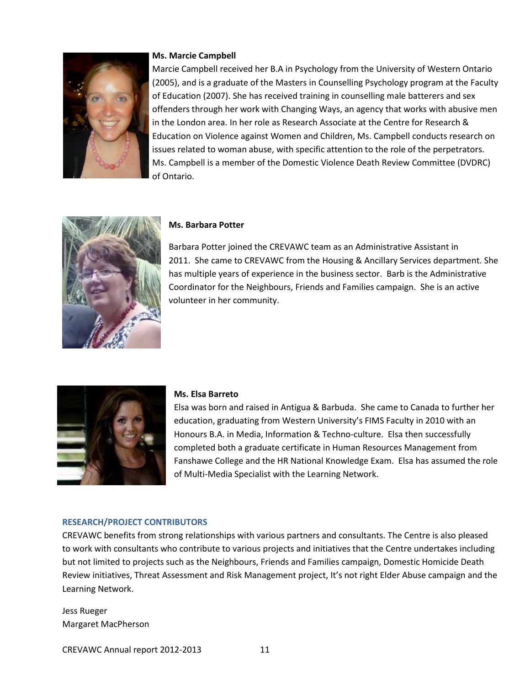

#### **Ms. Marcie Campbell**

Marcie Campbell received her B.A in Psychology from the University of Western Ontario (2005), and is a graduate of the Masters in Counselling Psychology program at the Faculty of Education (2007). She has received training in counselling male batterers and sex offenders through her work with Changing Ways, an agency that works with abusive men in the London area. In her role as Research Associate at the Centre for Research & Education on Violence against Women and Children, Ms. Campbell conducts research on issues related to woman abuse, with specific attention to the role of the perpetrators. Ms. Campbell is a member of the Domestic Violence Death Review Committee (DVDRC) of Ontario.



#### **Ms. Barbara Potter**

Barbara Potter joined the CREVAWC team as an Administrative Assistant in 2011. She came to CREVAWC from the Housing & Ancillary Services department. She has multiple years of experience in the business sector. Barb is the Administrative Coordinator for the Neighbours, Friends and Families campaign. She is an active volunteer in her community.



#### <span id="page-10-0"></span>**Ms. Elsa Barreto**

Elsa was born and raised in Antigua & Barbuda. She came to Canada to further her education, graduating from Western University's FIMS Faculty in 2010 with an Honours B.A. in Media, Information & Techno-culture. Elsa then successfully completed both a graduate certificate in Human Resources Management from Fanshawe College and the HR National Knowledge Exam. Elsa has assumed the role of Multi-Media Specialist with the Learning Network.

#### <span id="page-10-1"></span>**RESEARCH/PROJECT CONTRIBUTORS**

CREVAWC benefits from strong relationships with various partners and consultants. The Centre is also pleased to work with consultants who contribute to various projects and initiatives that the Centre undertakes including but not limited to projects such as the Neighbours, Friends and Families campaign, Domestic Homicide Death Review initiatives, Threat Assessment and Risk Management project, It's not right Elder Abuse campaign and the Learning Network.

Jess Rueger Margaret MacPherson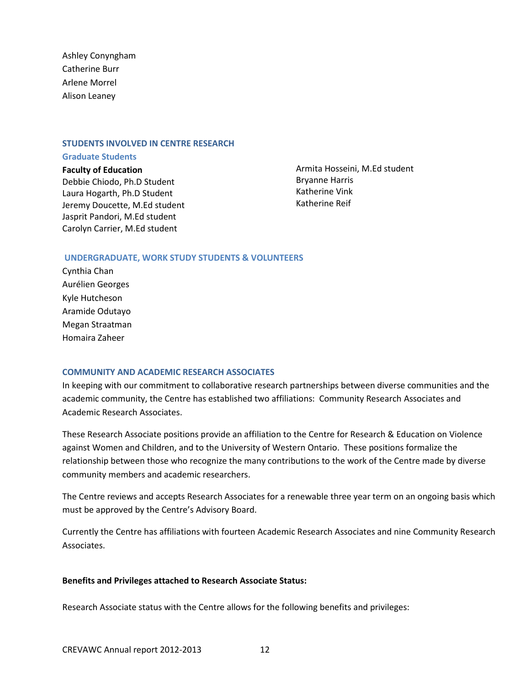Ashley Conyngham Catherine Burr Arlene Morrel Alison Leaney

#### <span id="page-11-0"></span>**STUDENTS INVOLVED IN CENTRE RESEARCH**

#### <span id="page-11-1"></span>**Graduate Students**

**Faculty of Education** Debbie Chiodo, Ph.D Student Laura Hogarth, Ph.D Student Jeremy Doucette, M.Ed student Jasprit Pandori, M.Ed student Carolyn Carrier, M.Ed student

Armita Hosseini, M.Ed student Bryanne Harris Katherine Vink Katherine Reif

#### <span id="page-11-2"></span>**UNDERGRADUATE, WORK STUDY STUDENTS & VOLUNTEERS**

Cynthia Chan Aurélien Georges Kyle Hutcheson Aramide Odutayo Megan Straatman Homaira Zaheer

#### **COMMUNITY AND ACADEMIC RESEARCH ASSOCIATES**

In keeping with our commitment to collaborative research partnerships between diverse communities and the academic community, the Centre has established two affiliations: Community Research Associates and Academic Research Associates.

These Research Associate positions provide an affiliation to the Centre for Research & Education on Violence against Women and Children, and to the University of Western Ontario. These positions formalize the relationship between those who recognize the many contributions to the work of the Centre made by diverse community members and academic researchers.

The Centre reviews and accepts Research Associates for a renewable three year term on an ongoing basis which must be approved by the Centre's Advisory Board.

Currently the Centre has affiliations with fourteen Academic Research Associates and nine Community Research Associates.

#### **Benefits and Privileges attached to Research Associate Status:**

Research Associate status with the Centre allows for the following benefits and privileges: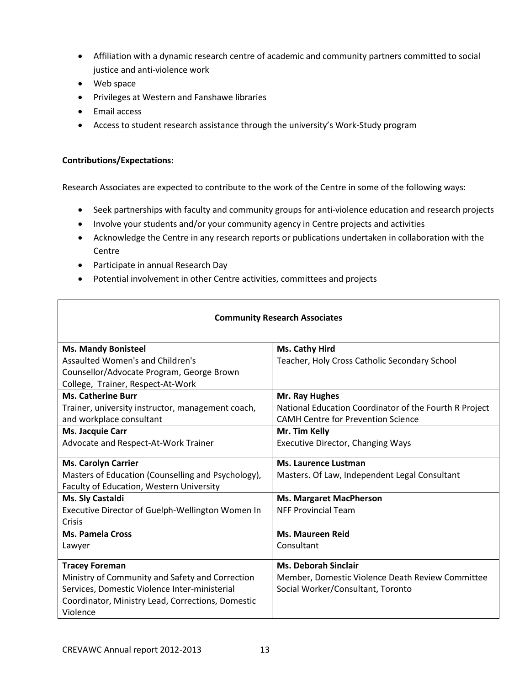- Affiliation with a dynamic research centre of academic and community partners committed to social justice and anti-violence work
- Web space
- Privileges at Western and Fanshawe libraries
- Email access
- Access to student research assistance through the university's Work-Study program

## **Contributions/Expectations:**

Research Associates are expected to contribute to the work of the Centre in some of the following ways:

- Seek partnerships with faculty and community groups for anti-violence education and research projects
- Involve your students and/or your community agency in Centre projects and activities
- Acknowledge the Centre in any research reports or publications undertaken in collaboration with the **Centre**
- Participate in annual Research Day
- <span id="page-12-0"></span>Potential involvement in other Centre activities, committees and projects

## **Community Research Associates**

| <b>Ms. Mandy Bonisteel</b>                         | Ms. Cathy Hird                                         |
|----------------------------------------------------|--------------------------------------------------------|
| Assaulted Women's and Children's                   | Teacher, Holy Cross Catholic Secondary School          |
| Counsellor/Advocate Program, George Brown          |                                                        |
| College, Trainer, Respect-At-Work                  |                                                        |
| <b>Ms. Catherine Burr</b>                          | Mr. Ray Hughes                                         |
| Trainer, university instructor, management coach,  | National Education Coordinator of the Fourth R Project |
| and workplace consultant                           | <b>CAMH Centre for Prevention Science</b>              |
| Ms. Jacquie Carr                                   | Mr. Tim Kelly                                          |
| Advocate and Respect-At-Work Trainer               | <b>Executive Director, Changing Ways</b>               |
|                                                    |                                                        |
| <b>Ms. Carolyn Carrier</b>                         | Ms. Laurence Lustman                                   |
| Masters of Education (Counselling and Psychology), | Masters. Of Law, Independent Legal Consultant          |
| Faculty of Education, Western University           |                                                        |
| Ms. Sly Castaldi                                   | <b>Ms. Margaret MacPherson</b>                         |
| Executive Director of Guelph-Wellington Women In   | <b>NFF Provincial Team</b>                             |
| Crisis                                             |                                                        |
| <b>Ms. Pamela Cross</b>                            | <b>Ms. Maureen Reid</b>                                |
| Lawyer                                             | Consultant                                             |
|                                                    |                                                        |
| <b>Tracey Foreman</b>                              | <b>Ms. Deborah Sinclair</b>                            |
| Ministry of Community and Safety and Correction    | Member, Domestic Violence Death Review Committee       |
| Services, Domestic Violence Inter-ministerial      | Social Worker/Consultant, Toronto                      |
| Coordinator, Ministry Lead, Corrections, Domestic  |                                                        |
| Violence                                           |                                                        |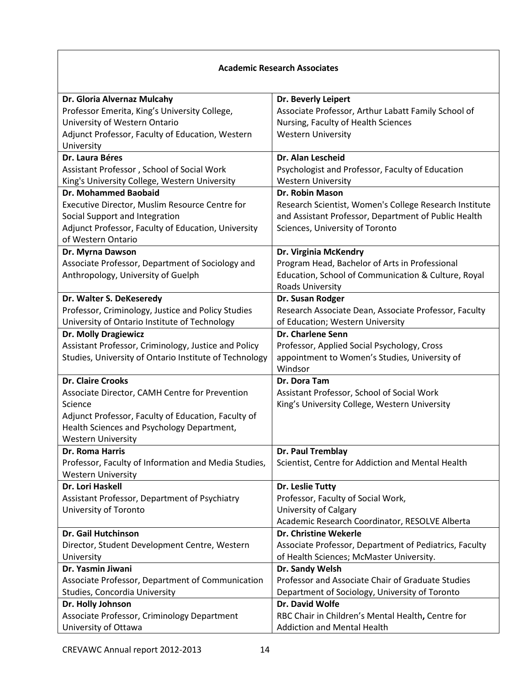## **Academic Research Associates**

| Dr. Gloria Alvernaz Mulcahy                            | Dr. Beverly Leipert                                    |
|--------------------------------------------------------|--------------------------------------------------------|
| Professor Emerita, King's University College,          | Associate Professor, Arthur Labatt Family School of    |
| University of Western Ontario                          | Nursing, Faculty of Health Sciences                    |
| Adjunct Professor, Faculty of Education, Western       | <b>Western University</b>                              |
| University                                             |                                                        |
| Dr. Laura Béres                                        | Dr. Alan Lescheid                                      |
| Assistant Professor, School of Social Work             | Psychologist and Professor, Faculty of Education       |
| King's University College, Western University          | <b>Western University</b>                              |
| <b>Dr. Mohammed Baobaid</b>                            | Dr. Robin Mason                                        |
| Executive Director, Muslim Resource Centre for         | Research Scientist, Women's College Research Institute |
| Social Support and Integration                         | and Assistant Professor, Department of Public Health   |
| Adjunct Professor, Faculty of Education, University    | Sciences, University of Toronto                        |
| of Western Ontario                                     |                                                        |
| Dr. Myrna Dawson                                       | Dr. Virginia McKendry                                  |
| Associate Professor, Department of Sociology and       | Program Head, Bachelor of Arts in Professional         |
| Anthropology, University of Guelph                     | Education, School of Communication & Culture, Royal    |
|                                                        | Roads University                                       |
| Dr. Walter S. DeKeseredy                               | Dr. Susan Rodger                                       |
| Professor, Criminology, Justice and Policy Studies     | Research Associate Dean, Associate Professor, Faculty  |
| University of Ontario Institute of Technology          | of Education; Western University                       |
| <b>Dr. Molly Dragiewicz</b>                            | <b>Dr. Charlene Senn</b>                               |
| Assistant Professor, Criminology, Justice and Policy   | Professor, Applied Social Psychology, Cross            |
| Studies, University of Ontario Institute of Technology | appointment to Women's Studies, University of          |
|                                                        | Windsor                                                |
| <b>Dr. Claire Crooks</b>                               | Dr. Dora Tam                                           |
| Associate Director, CAMH Centre for Prevention         | Assistant Professor, School of Social Work             |
| Science                                                | King's University College, Western University          |
| Adjunct Professor, Faculty of Education, Faculty of    |                                                        |
| Health Sciences and Psychology Department,             |                                                        |
| <b>Western University</b>                              |                                                        |
| <b>Dr. Roma Harris</b>                                 | Dr. Paul Tremblay                                      |
| Professor, Faculty of Information and Media Studies,   | Scientist, Centre for Addiction and Mental Health      |
| <b>Western University</b>                              |                                                        |
| Dr. Lori Haskell                                       | Dr. Leslie Tutty                                       |
| Assistant Professor, Department of Psychiatry          | Professor, Faculty of Social Work,                     |
| University of Toronto                                  | University of Calgary                                  |
|                                                        | Academic Research Coordinator, RESOLVE Alberta         |
| Dr. Gail Hutchinson                                    | Dr. Christine Wekerle                                  |
| Director, Student Development Centre, Western          | Associate Professor, Department of Pediatrics, Faculty |
| University                                             | of Health Sciences; McMaster University.               |
| Dr. Yasmin Jiwani                                      | Dr. Sandy Welsh                                        |
| Associate Professor, Department of Communication       | Professor and Associate Chair of Graduate Studies      |
| Studies, Concordia University                          | Department of Sociology, University of Toronto         |
| Dr. Holly Johnson                                      | Dr. David Wolfe                                        |
| Associate Professor, Criminology Department            | RBC Chair in Children's Mental Health, Centre for      |
| University of Ottawa                                   | <b>Addiction and Mental Health</b>                     |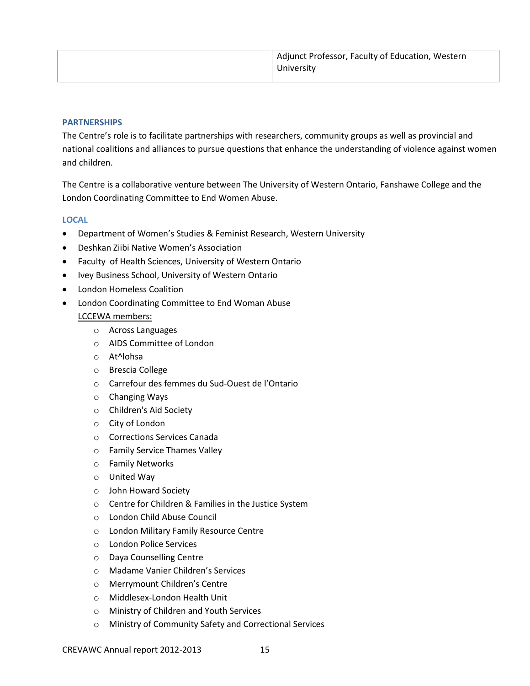| Adjunct Professor, Faculty of Education, Western |
|--------------------------------------------------|
| University                                       |

#### **PARTNERSHIPS**

The Centre's role is to facilitate partnerships with researchers, community groups as well as provincial and national coalitions and alliances to pursue questions that enhance the understanding of violence against women and children.

The Centre is a collaborative venture between The University of Western Ontario, Fanshawe College and the London Coordinating Committee to End Women Abuse.

#### <span id="page-14-0"></span>**LOCAL**

- Department of Women's Studies & Feminist Research, Western University
- Deshkan Ziibi Native Women's Association
- Faculty of Health Sciences, University of Western Ontario
- Ivey Business School, University of Western Ontario
- London Homeless Coalition
- London Coordinating Committee to End Woman Abuse LCCEWA members:
	- o Across Languages
	- o AIDS Committee of London
	- o At^lohsa
	- o Brescia College
	- o Carrefour des femmes du Sud-Ouest de l'Ontario
	- o Changing Ways
	- o Children's Aid Society
	- o City of London
	- o Corrections Services Canada
	- o Family Service Thames Valley
	- o Family Networks
	- o United Way
	- o John Howard Society
	- o Centre for Children & Families in the Justice System
	- o London Child Abuse Council
	- o London Military Family Resource Centre
	- o London Police Services
	- o Daya Counselling Centre
	- o Madame Vanier Children's Services
	- o Merrymount Children's Centre
	- o Middlesex-London Health Unit
	- o Ministry of Children and Youth Services
	- o Ministry of Community Safety and Correctional Services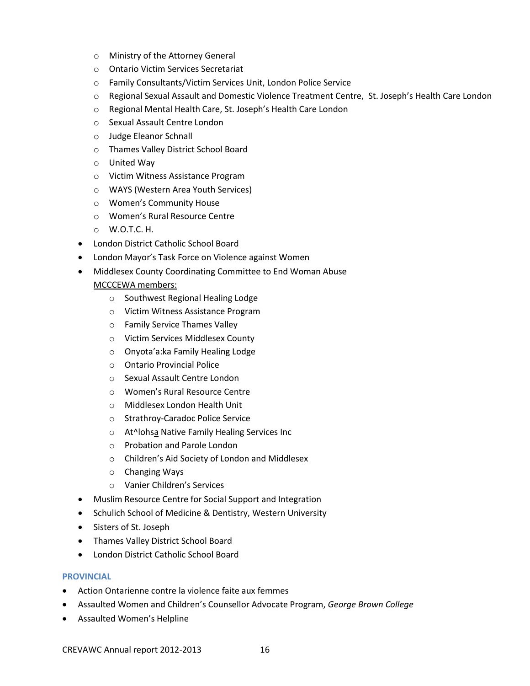- o Ministry of the Attorney General
- o Ontario Victim Services Secretariat
- o Family Consultants/Victim Services Unit, London Police Service
- o Regional Sexual Assault and Domestic Violence Treatment Centre, St. Joseph's Health Care London
- o Regional Mental Health Care, St. Joseph's Health Care London
- o Sexual Assault Centre London
- o Judge Eleanor Schnall
- o Thames Valley District School Board
- o United Way
- o Victim Witness Assistance Program
- o WAYS (Western Area Youth Services)
- o Women's Community House
- o Women's Rural Resource Centre
- o W.O.T.C. H.
- London District Catholic School Board
- London Mayor's Task Force on Violence against Women
- Middlesex County Coordinating Committee to End Woman Abuse

## MCCCEWA members:

- o Southwest Regional Healing Lodge
- o Victim Witness Assistance Program
- o Family Service Thames Valley
- o Victim Services Middlesex County
- o Onyota'a:ka Family Healing Lodge
- o Ontario Provincial Police
- o Sexual Assault Centre London
- o Women's Rural Resource Centre
- o Middlesex London Health Unit
- o Strathroy-Caradoc Police Service
- o At^lohsa Native Family Healing Services Inc
- o Probation and Parole London
- o Children's Aid Society of London and Middlesex
- o Changing Ways
- o Vanier Children's Services
- Muslim Resource Centre for Social Support and Integration
- Schulich School of Medicine & Dentistry, Western University
- Sisters of St. Joseph
- Thames Valley District School Board
- London District Catholic School Board

## <span id="page-15-0"></span>**PROVINCIAL**

- Action Ontarienne contre la violence faite aux femmes
- Assaulted Women and Children's Counsellor Advocate Program, *George Brown College*
- Assaulted Women's Helpline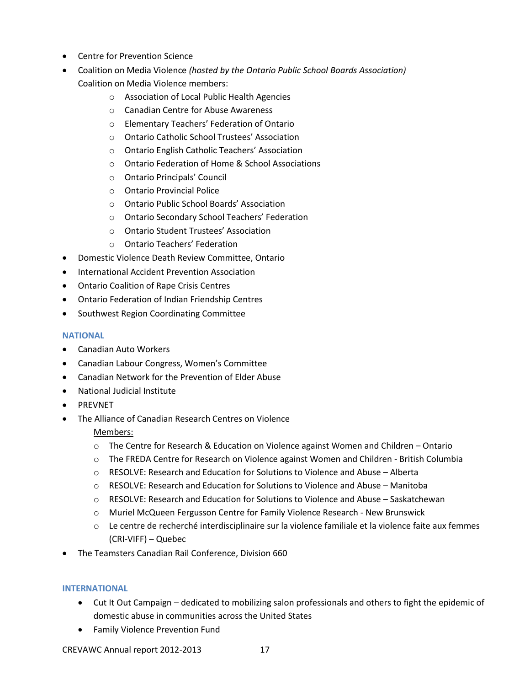- Centre for Prevention Science
- Coalition on Media Violence *(hosted by the Ontario Public School Boards Association)* Coalition on Media Violence members:
	- o Association of Local Public Health Agencies
	- o Canadian Centre for Abuse Awareness
	- o Elementary Teachers' Federation of Ontario
	- o Ontario Catholic School Trustees' Association
	- o Ontario English Catholic Teachers' Association
	- o Ontario Federation of Home & School Associations
	- o Ontario Principals' Council
	- o Ontario Provincial Police
	- o Ontario Public School Boards' Association
	- o Ontario Secondary School Teachers' Federation
	- o Ontario Student Trustees' Association
	- o Ontario Teachers' Federation
- Domestic Violence Death Review Committee, Ontario
- **•** International Accident Prevention Association
- Ontario Coalition of Rape Crisis Centres
- Ontario Federation of Indian Friendship Centres
- Southwest Region Coordinating Committee

## <span id="page-16-0"></span>**NATIONAL**

- Canadian Auto Workers
- Canadian Labour Congress, Women's Committee
- Canadian Network for the Prevention of Elder Abuse
- National Judicial Institute
- PREVNET
- The Alliance of Canadian Research Centres on Violence Members:
	- o The Centre for Research & Education on Violence against Women and Children Ontario
	- o The FREDA Centre for Research on Violence against Women and Children British Columbia
	- o RESOLVE: Research and Education for Solutions to Violence and Abuse Alberta
	- $\circ$  RESOLVE: Research and Education for Solutions to Violence and Abuse Manitoba
	- $\circ$  RESOLVE: Research and Education for Solutions to Violence and Abuse Saskatchewan
	- o Muriel McQueen Fergusson Centre for Family Violence Research New Brunswick
	- o Le centre de recherché interdisciplinaire sur la violence familiale et la violence faite aux femmes (CRI-VIFF) – Quebec
- The Teamsters Canadian Rail Conference, Division 660

## <span id="page-16-1"></span>**INTERNATIONAL**

- Cut It Out Campaign dedicated to mobilizing salon professionals and others to fight the epidemic of domestic abuse in communities across the United States
- **•** Family Violence Prevention Fund

CREVAWC Annual report 2012-2013 17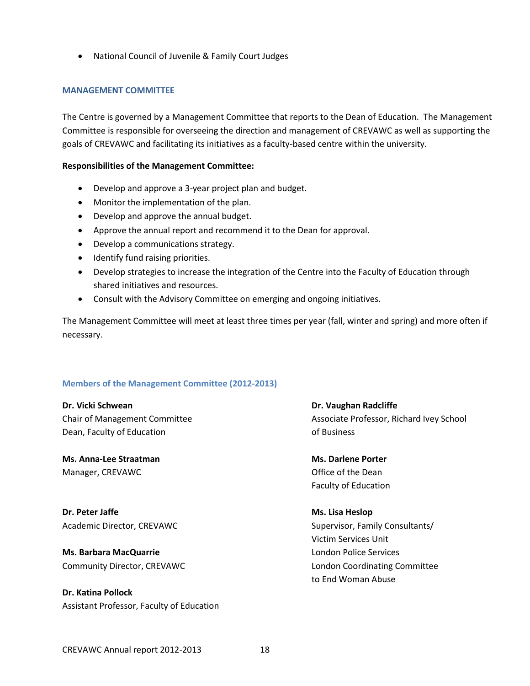National Council of Juvenile & Family Court Judges

#### <span id="page-17-0"></span>**MANAGEMENT COMMITTEE**

The Centre is governed by a Management Committee that reports to the Dean of Education. The Management Committee is responsible for overseeing the direction and management of CREVAWC as well as supporting the goals of CREVAWC and facilitating its initiatives as a faculty-based centre within the university.

#### **Responsibilities of the Management Committee:**

- Develop and approve a 3-year project plan and budget.
- Monitor the implementation of the plan.
- Develop and approve the annual budget.
- Approve the annual report and recommend it to the Dean for approval.
- Develop a communications strategy.
- Identify fund raising priorities.
- Develop strategies to increase the integration of the Centre into the Faculty of Education through shared initiatives and resources.
- Consult with the Advisory Committee on emerging and ongoing initiatives.

The Management Committee will meet at least three times per year (fall, winter and spring) and more often if necessary.

## <span id="page-17-1"></span>**Members of the Management Committee (2012-2013)**

**Dr. Vicki Schwean Dr. Vaughan Radcliffe** Dean, Faculty of Education **Dean, Faculty of Education** 

**Ms. Anna-Lee Straatman Ms. Darlene Porter** Manager, CREVAWC **Canadian Canadian Canadian Canadian Canadian Canadian Canadian Canadian Canadian Canadian Canadian Canadian Canadian Canadian Canadian Canadian Canadian Canadian Canadian Canadian Canadian Canadian Canadi** 

**Dr. Peter Jaffe Ms. Lisa Heslop**

**Ms. Barbara MacQuarrie Ms. Barbara MacQuarrie** London Police Services

**Dr. Katina Pollock** Assistant Professor, Faculty of Education

Chair of Management Committee Associate Professor, Richard Ivey School

Faculty of Education

Academic Director, CREVAWC Supervisor, Family Consultants/ Victim Services Unit Community Director, CREVAWC London Coordinating Committee to End Woman Abuse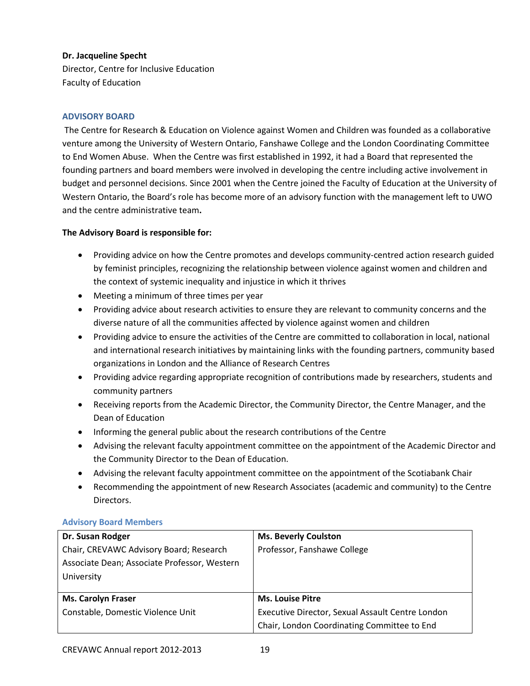## **Dr. Jacqueline Specht**

Director, Centre for Inclusive Education Faculty of Education

## <span id="page-18-0"></span>**ADVISORY BOARD**

The Centre for Research & Education on Violence against Women and Children was founded as a collaborative venture among the University of Western Ontario, Fanshawe College and the London Coordinating Committee to End Women Abuse. When the Centre was first established in 1992, it had a Board that represented the founding partners and board members were involved in developing the centre including active involvement in budget and personnel decisions. Since 2001 when the Centre joined the Faculty of Education at the University of Western Ontario, the Board's role has become more of an advisory function with the management left to UWO and the centre administrative team**.** 

## **The Advisory Board is responsible for:**

- Providing advice on how the Centre promotes and develops community-centred action research guided by feminist principles, recognizing the relationship between violence against women and children and the context of systemic inequality and injustice in which it thrives
- Meeting a minimum of three times per year
- Providing advice about research activities to ensure they are relevant to community concerns and the diverse nature of all the communities affected by violence against women and children
- Providing advice to ensure the activities of the Centre are committed to collaboration in local, national and international research initiatives by maintaining links with the founding partners, community based organizations in London and the Alliance of Research Centres
- Providing advice regarding appropriate recognition of contributions made by researchers, students and community partners
- Receiving reports from the Academic Director, the Community Director, the Centre Manager, and the Dean of Education
- Informing the general public about the research contributions of the Centre
- Advising the relevant faculty appointment committee on the appointment of the Academic Director and the Community Director to the Dean of Education.
- Advising the relevant faculty appointment committee on the appointment of the Scotiabank Chair
- Recommending the appointment of new Research Associates (academic and community) to the Centre Directors.

## **Advisory Board Members**

| Dr. Susan Rodger                             | <b>Ms. Beverly Coulston</b>                      |
|----------------------------------------------|--------------------------------------------------|
| Chair, CREVAWC Advisory Board; Research      | Professor, Fanshawe College                      |
| Associate Dean; Associate Professor, Western |                                                  |
| University                                   |                                                  |
|                                              |                                                  |
| <b>Ms. Carolyn Fraser</b>                    | <b>Ms. Louise Pitre</b>                          |
| Constable, Domestic Violence Unit            | Executive Director, Sexual Assault Centre London |
|                                              | Chair, London Coordinating Committee to End      |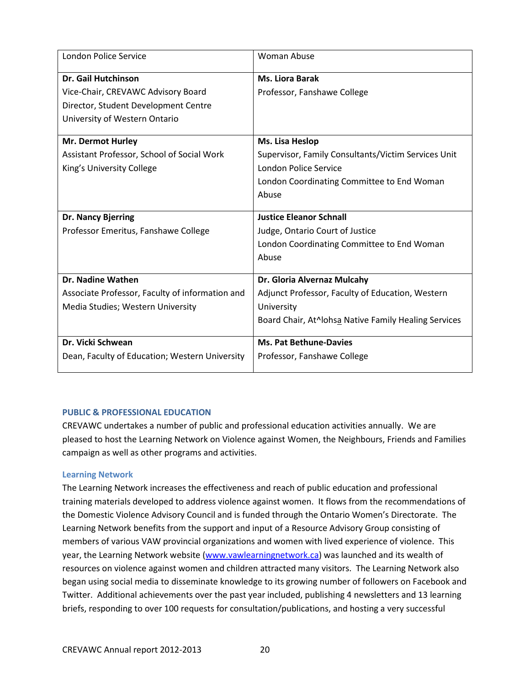| <b>London Police Service</b>                    | <b>Woman Abuse</b>                                   |
|-------------------------------------------------|------------------------------------------------------|
| <b>Dr. Gail Hutchinson</b>                      | <b>Ms. Liora Barak</b>                               |
| Vice-Chair, CREVAWC Advisory Board              | Professor, Fanshawe College                          |
| Director, Student Development Centre            |                                                      |
| University of Western Ontario                   |                                                      |
| <b>Mr. Dermot Hurley</b>                        | Ms. Lisa Heslop                                      |
| Assistant Professor, School of Social Work      | Supervisor, Family Consultants/Victim Services Unit  |
| King's University College                       | <b>London Police Service</b>                         |
|                                                 | London Coordinating Committee to End Woman           |
|                                                 | Abuse                                                |
| Dr. Nancy Bjerring                              | <b>Justice Eleanor Schnall</b>                       |
| Professor Emeritus, Fanshawe College            | Judge, Ontario Court of Justice                      |
|                                                 | London Coordinating Committee to End Woman           |
|                                                 | Abuse                                                |
| Dr. Nadine Wathen                               | Dr. Gloria Alvernaz Mulcahy                          |
| Associate Professor, Faculty of information and | Adjunct Professor, Faculty of Education, Western     |
| Media Studies; Western University               | University                                           |
|                                                 | Board Chair, At^lohsa Native Family Healing Services |
| Dr. Vicki Schwean                               | <b>Ms. Pat Bethune-Davies</b>                        |
| Dean, Faculty of Education; Western University  | Professor, Fanshawe College                          |

## <span id="page-19-0"></span>**PUBLIC & PROFESSIONAL EDUCATION**

CREVAWC undertakes a number of public and professional education activities annually. We are pleased to host the Learning Network on Violence against Women, the Neighbours, Friends and Families campaign as well as other programs and activities.

## <span id="page-19-1"></span>**Learning Network**

The Learning Network increases the effectiveness and reach of public education and professional training materials developed to address violence against women. It flows from the recommendations of the Domestic Violence Advisory Council and is funded through the Ontario Women's Directorate. The Learning Network benefits from the support and input of a Resource Advisory Group consisting of members of various VAW provincial organizations and women with lived experience of violence. This year, the Learning Network website [\(www.vawlearningnetwork.ca\)](http://www.vawlearningnetwork.ca/) was launched and its wealth of resources on violence against women and children attracted many visitors. The Learning Network also began using social media to disseminate knowledge to its growing number of followers on Facebook and Twitter. Additional achievements over the past year included, publishing 4 newsletters and 13 learning briefs, responding to over 100 requests for consultation/publications, and hosting a very successful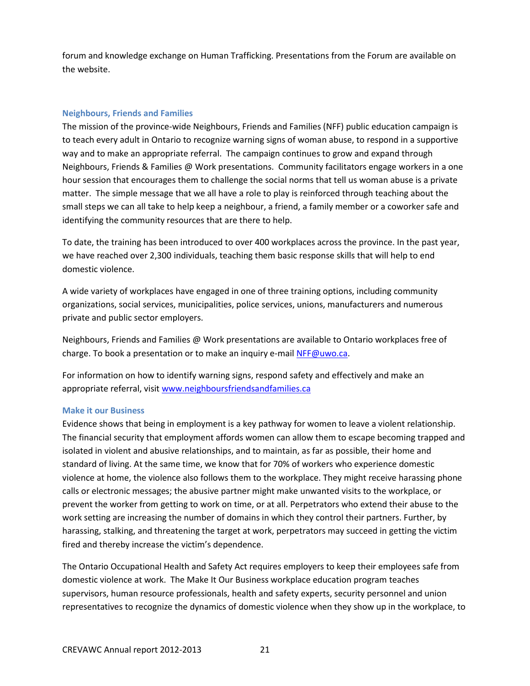forum and knowledge exchange on Human Trafficking. Presentations from the Forum are available on the website.

#### <span id="page-20-0"></span>**Neighbours, Friends and Families**

The mission of the province-wide Neighbours, Friends and Families (NFF) public education campaign is to teach every adult in Ontario to recognize warning signs of woman abuse, to respond in a supportive way and to make an appropriate referral. The campaign continues to grow and expand through Neighbours, Friends & Families @ Work presentations. Community facilitators engage workers in a one hour session that encourages them to challenge the social norms that tell us woman abuse is a private matter. The simple message that we all have a role to play is reinforced through teaching about the small steps we can all take to help keep a neighbour, a friend, a family member or a coworker safe and identifying the community resources that are there to help.

To date, the training has been introduced to over 400 workplaces across the province. In the past year, we have reached over 2,300 individuals, teaching them basic response skills that will help to end domestic violence.

A wide variety of workplaces have engaged in one of three training options, including community organizations, social services, municipalities, police services, unions, manufacturers and numerous private and public sector employers.

Neighbours, Friends and Families @ Work presentations are available to Ontario workplaces free of charge. To book a presentation or to make an inquiry e-mai[l NFF@uwo.ca.](mailto:NFF@uwo.ca)

For information on how to identify warning signs, respond safety and effectively and make an appropriate referral, visit [www.neighboursfriendsandfamilies.ca](http://www.neighboursfriendsandfamilies.ca/)

## <span id="page-20-1"></span>**Make it our Business**

Evidence shows that being in employment is a key pathway for women to leave a violent relationship. The financial security that employment affords women can allow them to escape becoming trapped and isolated in violent and abusive relationships, and to maintain, as far as possible, their home and standard of living. At the same time, we know that for 70% of workers who experience domestic violence at home, the violence also follows them to the workplace. They might receive harassing phone calls or electronic messages; the abusive partner might make unwanted visits to the workplace, or prevent the worker from getting to work on time, or at all. Perpetrators who extend their abuse to the work setting are increasing the number of domains in which they control their partners. Further, by harassing, stalking, and threatening the target at work, perpetrators may succeed in getting the victim fired and thereby increase the victim's dependence.

The Ontario Occupational Health and Safety Act requires employers to keep their employees safe from domestic violence at work. The Make It Our Business workplace education program teaches supervisors, human resource professionals, health and safety experts, security personnel and union representatives to recognize the dynamics of domestic violence when they show up in the workplace, to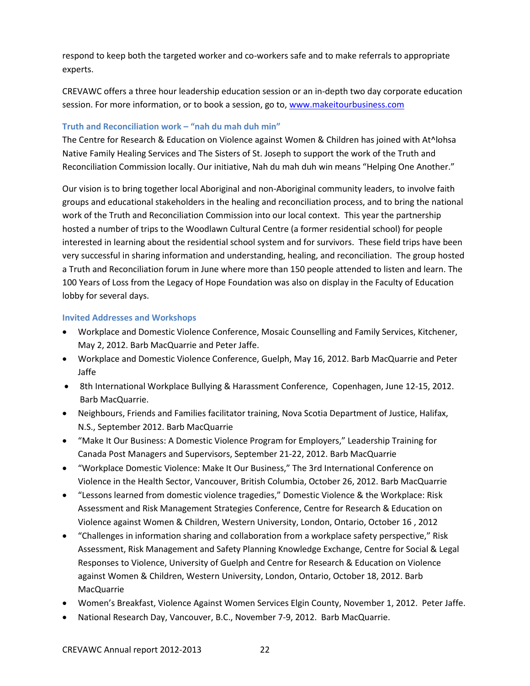respond to keep both the targeted worker and co-workers safe and to make referrals to appropriate experts.

CREVAWC offers a three hour leadership education session or an in-depth two day corporate education session. For more information, or to book a session, go to, [www.makeitourbusiness.com](http://www.makeitourbusiness.com/)

## **Truth and Reconciliation work – "nah du mah duh min"**

The Centre for Research & Education on Violence against Women & Children has joined with At^lohsa Native Family Healing Services and The Sisters of St. Joseph to support the work of the Truth and Reconciliation Commission locally. Our initiative, Nah du mah duh win means "Helping One Another."

Our vision is to bring together local Aboriginal and non-Aboriginal community leaders, to involve faith groups and educational stakeholders in the healing and reconciliation process, and to bring the national work of the Truth and Reconciliation Commission into our local context. This year the partnership hosted a number of trips to the Woodlawn Cultural Centre (a former residential school) for people interested in learning about the residential school system and for survivors. These field trips have been very successful in sharing information and understanding, healing, and reconciliation. The group hosted a Truth and Reconciliation forum in June where more than 150 people attended to listen and learn. The 100 Years of Loss from the Legacy of Hope Foundation was also on display in the Faculty of Education lobby for several days.

## <span id="page-21-0"></span>**Invited Addresses and Workshops**

- Workplace and Domestic Violence Conference, Mosaic Counselling and Family Services, Kitchener, May 2, 2012. Barb MacQuarrie and Peter Jaffe.
- Workplace and Domestic Violence Conference, Guelph, May 16, 2012. Barb MacQuarrie and Peter Jaffe
- 8th International Workplace Bullying & Harassment Conference, Copenhagen, June 12-15, 2012. Barb MacQuarrie.
- Neighbours, Friends and Families facilitator training, Nova Scotia Department of Justice, Halifax, N.S., September 2012. Barb MacQuarrie
- "Make It Our Business: A Domestic Violence Program for Employers," Leadership Training for Canada Post Managers and Supervisors, September 21-22, 2012. Barb MacQuarrie
- "Workplace Domestic Violence: Make It Our Business," The 3rd International Conference on Violence in the Health Sector, Vancouver, British Columbia, October 26, 2012. Barb MacQuarrie
- "Lessons learned from domestic violence tragedies," Domestic Violence & the Workplace: Risk Assessment and Risk Management Strategies Conference, Centre for Research & Education on Violence against Women & Children, Western University, London, Ontario, October 16 , 2012
- "Challenges in information sharing and collaboration from a workplace safety perspective," Risk Assessment, Risk Management and Safety Planning Knowledge Exchange, Centre for Social & Legal Responses to Violence, University of Guelph and Centre for Research & Education on Violence against Women & Children, Western University, London, Ontario, October 18, 2012. Barb MacQuarrie
- Women's Breakfast, Violence Against Women Services Elgin County, November 1, 2012. Peter Jaffe.
- National Research Day, Vancouver, B.C., November 7-9, 2012. Barb MacQuarrie.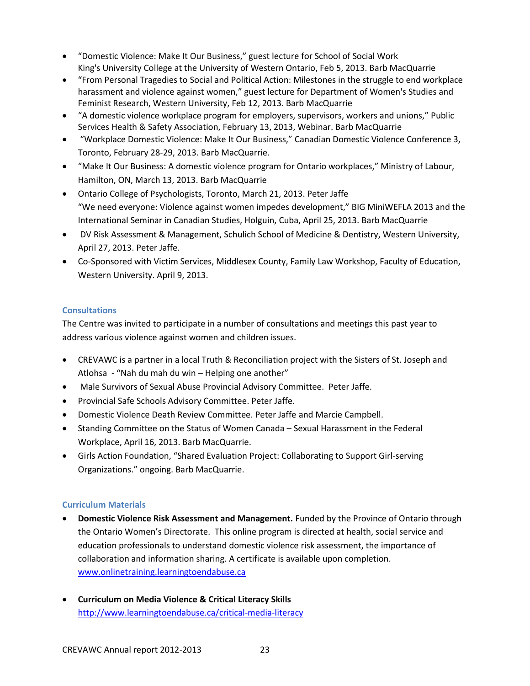- "Domestic Violence: Make It Our Business," guest lecture for School of Social Work King's University College at the University of Western Ontario, Feb 5, 2013. Barb MacQuarrie
- "From Personal Tragedies to Social and Political Action: Milestones in the struggle to end workplace harassment and violence against women," guest lecture for Department of Women's Studies and Feminist Research, Western University, Feb 12, 2013. Barb MacQuarrie
- "A domestic violence workplace program for employers, supervisors, workers and unions," Public Services Health & Safety Association, February 13, 2013, Webinar. Barb MacQuarrie
- "Workplace Domestic Violence: Make It Our Business," Canadian Domestic Violence Conference 3, Toronto, February 28-29, 2013. Barb MacQuarrie.
- "Make It Our Business: A domestic violence program for Ontario workplaces," Ministry of Labour, Hamilton, ON, March 13, 2013. Barb MacQuarrie
- Ontario College of Psychologists, Toronto, March 21, 2013. Peter Jaffe "We need everyone: Violence against women impedes development," BIG MiniWEFLA 2013 and the International Seminar in Canadian Studies, Holguin, Cuba, April 25, 2013. Barb MacQuarrie
- DV Risk Assessment & Management, Schulich School of Medicine & Dentistry, Western University, April 27, 2013. Peter Jaffe.
- Co-Sponsored with Victim Services, Middlesex County, Family Law Workshop, Faculty of Education, Western University. April 9, 2013.

# <span id="page-22-0"></span>**Consultations**

The Centre was invited to participate in a number of consultations and meetings this past year to address various violence against women and children issues.

- CREVAWC is a partner in a local Truth & Reconciliation project with the Sisters of St. Joseph and Atlohsa - "Nah du mah du win – Helping one another"
- Male Survivors of Sexual Abuse Provincial Advisory Committee. Peter Jaffe.
- Provincial Safe Schools Advisory Committee. Peter Jaffe.
- Domestic Violence Death Review Committee. Peter Jaffe and Marcie Campbell.
- Standing Committee on the Status of Women Canada Sexual Harassment in the Federal Workplace, April 16, 2013. Barb MacQuarrie.
- Girls Action Foundation, "Shared Evaluation Project: Collaborating to Support Girl-serving Organizations." ongoing. Barb MacQuarrie.

# <span id="page-22-1"></span>**Curriculum Materials**

- **Domestic Violence Risk Assessment and Management.** Funded by the Province of Ontario through the Ontario Women's Directorate. This online program is directed at health, social service and education professionals to understand domestic violence risk assessment, the importance of collaboration and information sharing. A certificate is available upon completion. [www.onlinetraining.learningtoendabuse.ca](http://www.onlinetraining.learningtoendabuse.ca/)
- **Curriculum on Media Violence & Critical Literacy Skills**  <http://www.learningtoendabuse.ca/critical-media-literacy>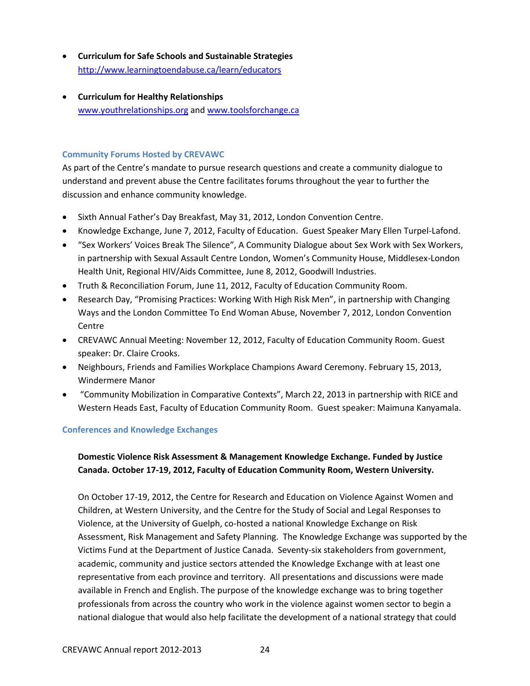- **Curriculum for Safe Schools and Sustainable Strategies** <http://www.learningtoendabuse.ca/learn/educators>
- **Curriculum for Healthy Relationships** [www.youthrelationships.org](http://www.youthrelationships.org/) and [www.toolsforchange.ca](http://www.toolsforchange.ca/)

## <span id="page-23-0"></span>**Community Forums Hosted by CREVAWC**

As part of the Centre's mandate to pursue research questions and create a community dialogue to understand and prevent abuse the Centre facilitates forums throughout the year to further the discussion and enhance community knowledge.

- Sixth Annual Father's Day Breakfast, May 31, 2012, London Convention Centre.
- Knowledge Exchange, June 7, 2012, Faculty of Education. Guest Speaker Mary Ellen Turpel-Lafond.
- "Sex Workers' Voices Break The Silence", A Community Dialogue about Sex Work with Sex Workers, in partnership with Sexual Assault Centre London, Women's Community House, Middlesex-London Health Unit, Regional HIV/Aids Committee, June 8, 2012, Goodwill Industries.
- Truth & Reconciliation Forum, June 11, 2012, Faculty of Education Community Room.
- Research Day, "Promising Practices: Working With High Risk Men", in partnership with Changing Ways and the London Committee To End Woman Abuse, November 7, 2012, London Convention Centre
- CREVAWC Annual Meeting: November 12, 2012, Faculty of Education Community Room. Guest speaker: Dr. Claire Crooks.
- Neighbours, Friends and Families Workplace Champions Award Ceremony. February 15, 2013, Windermere Manor
- "Community Mobilization in Comparative Contexts", March 22, 2013 in partnership with RICE and Western Heads East, Faculty of Education Community Room. Guest speaker: Maimuna Kanyamala.

## <span id="page-23-1"></span>**Conferences and Knowledge Exchanges**

# **Domestic Violence Risk Assessment & Management Knowledge Exchange. Funded by Justice Canada. October 17-19, 2012, Faculty of Education Community Room, Western University.**

On October 17-19, 2012, the Centre for Research and Education on Violence Against Women and Children, at Western University, and the Centre for the Study of Social and Legal Responses to Violence, at the University of Guelph, co-hosted a national Knowledge Exchange on Risk Assessment, Risk Management and Safety Planning. The Knowledge Exchange was supported by the Victims Fund at the Department of Justice Canada. Seventy-six stakeholders from government, academic, community and justice sectors attended the Knowledge Exchange with at least one representative from each province and territory. All presentations and discussions were made available in French and English. The purpose of the knowledge exchange was to bring together professionals from across the country who work in the violence against women sector to begin a national dialogue that would also help facilitate the development of a national strategy that could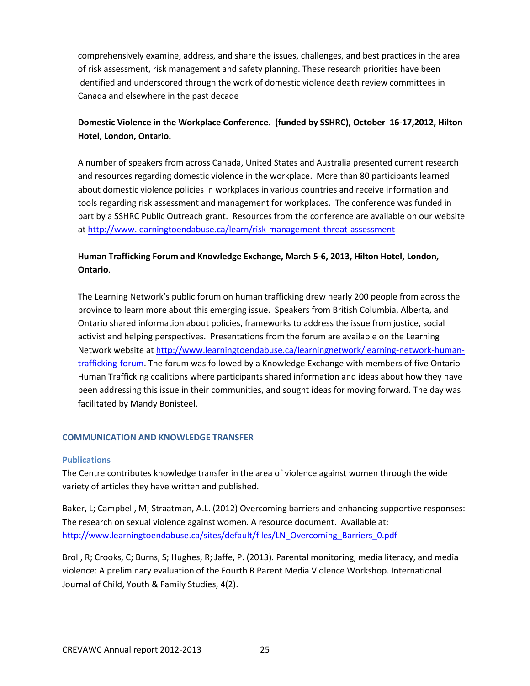comprehensively examine, address, and share the issues, challenges, and best practices in the area of risk assessment, risk management and safety planning. These research priorities have been identified and underscored through the work of domestic violence death review committees in Canada and elsewhere in the past decade

# **Domestic Violence in the Workplace Conference. (funded by SSHRC), October 16-17,2012, Hilton Hotel, London, Ontario.**

A number of speakers from across Canada, United States and Australia presented current research and resources regarding domestic violence in the workplace. More than 80 participants learned about domestic violence policies in workplaces in various countries and receive information and tools regarding risk assessment and management for workplaces. The conference was funded in part by a SSHRC Public Outreach grant. Resources from the conference are available on our website a[t http://www.learningtoendabuse.ca/learn/risk-management-threat-assessment](http://www.learningtoendabuse.ca/learn/risk-management-threat-assessment)

# **Human Trafficking Forum and Knowledge Exchange, March 5-6, 2013, Hilton Hotel, London, Ontario**.

The Learning Network's public forum on human trafficking drew nearly 200 people from across the province to learn more about this emerging issue. Speakers from British Columbia, Alberta, and Ontario shared information about policies, frameworks to address the issue from justice, social activist and helping perspectives. Presentations from the forum are available on the Learning Network website at [http://www.learningtoendabuse.ca/learningnetwork/learning-network-human](http://www.learningtoendabuse.ca/learningnetwork/learning-network-human-trafficking-forum)[trafficking-forum.](http://www.learningtoendabuse.ca/learningnetwork/learning-network-human-trafficking-forum) The forum was followed by a Knowledge Exchange with members of five Ontario Human Trafficking coalitions where participants shared information and ideas about how they have been addressing this issue in their communities, and sought ideas for moving forward. The day was facilitated by Mandy Bonisteel.

## <span id="page-24-0"></span>**COMMUNICATION AND KNOWLEDGE TRANSFER**

## <span id="page-24-1"></span>**Publications**

The Centre contributes knowledge transfer in the area of violence against women through the wide variety of articles they have written and published.

Baker, L; Campbell, M; Straatman, A.L. (2012) Overcoming barriers and enhancing supportive responses: The research on sexual violence against women. A resource document. Available at: [http://www.learningtoendabuse.ca/sites/default/files/LN\\_Overcoming\\_Barriers\\_0.pdf](http://www.learningtoendabuse.ca/sites/default/files/LN_Overcoming_Barriers_0.pdf)

Broll, R; Crooks, C; Burns, S; Hughes, R; Jaffe, P. (2013). Parental monitoring, media literacy, and media violence: A preliminary evaluation of the Fourth R Parent Media Violence Workshop. International Journal of Child, Youth & Family Studies, 4(2).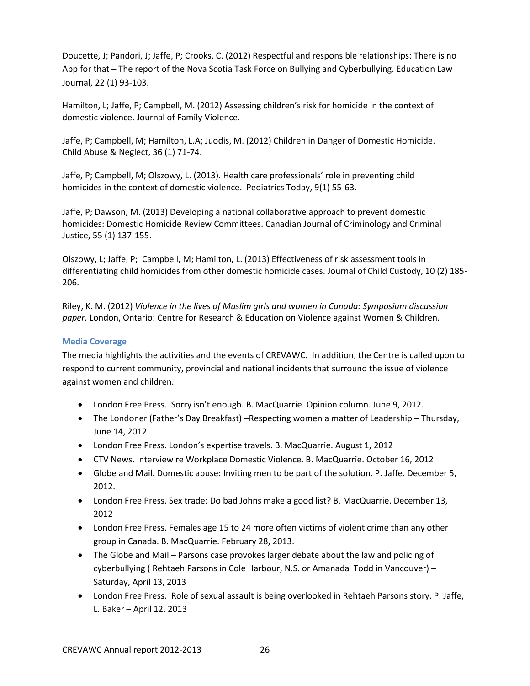Doucette, J; Pandori, J; Jaffe, P; Crooks, C. (2012) Respectful and responsible relationships: There is no App for that – The report of the Nova Scotia Task Force on Bullying and Cyberbullying. Education Law Journal, 22 (1) 93-103.

Hamilton, L; Jaffe, P; Campbell, M. (2012) Assessing children's risk for homicide in the context of domestic violence. Journal of Family Violence.

Jaffe, P; Campbell, M; Hamilton, L.A; Juodis, M. (2012) Children in Danger of Domestic Homicide. Child Abuse & Neglect, 36 (1) 71-74.

Jaffe, P; Campbell, M; Olszowy, L. (2013). Health care professionals' role in preventing child homicides in the context of domestic violence. Pediatrics Today, 9(1) 55-63.

Jaffe, P; Dawson, M. (2013) Developing a national collaborative approach to prevent domestic homicides: Domestic Homicide Review Committees. Canadian Journal of Criminology and Criminal Justice, 55 (1) 137-155.

Olszowy, L; Jaffe, P; Campbell, M; Hamilton, L. (2013) Effectiveness of risk assessment tools in differentiating child homicides from other domestic homicide cases. Journal of Child Custody, 10 (2) 185- 206.

Riley, K. M. (2012) *Violence in the lives of Muslim girls and women in Canada: Symposium discussion paper.* London, Ontario: Centre for Research & Education on Violence against Women & Children.

## <span id="page-25-0"></span>**Media Coverage**

The media highlights the activities and the events of CREVAWC. In addition, the Centre is called upon to respond to current community, provincial and national incidents that surround the issue of violence against women and children.

- London Free Press. Sorry isn't enough. B. MacQuarrie. Opinion column. June 9, 2012.
- The Londoner (Father's Day Breakfast) –Respecting women a matter of Leadership Thursday, June 14, 2012
- London Free Press. London's expertise travels. B. MacQuarrie. August 1, 2012
- CTV News. Interview re Workplace Domestic Violence. B. MacQuarrie. October 16, 2012
- Globe and Mail. Domestic abuse: Inviting men to be part of the solution. P. Jaffe. December 5, 2012.
- London Free Press. Sex trade: Do bad Johns make a good list? B. MacQuarrie. December 13, 2012
- London Free Press. Females age 15 to 24 more often victims of violent crime than any other group in Canada. B. MacQuarrie. February 28, 2013.
- The Globe and Mail Parsons case provokes larger debate about the law and policing of cyberbullying ( Rehtaeh Parsons in Cole Harbour, N.S. or Amanada Todd in Vancouver) – Saturday, April 13, 2013
- London Free Press. Role of sexual assault is being overlooked in Rehtaeh Parsons story. P. Jaffe, L. Baker – April 12, 2013